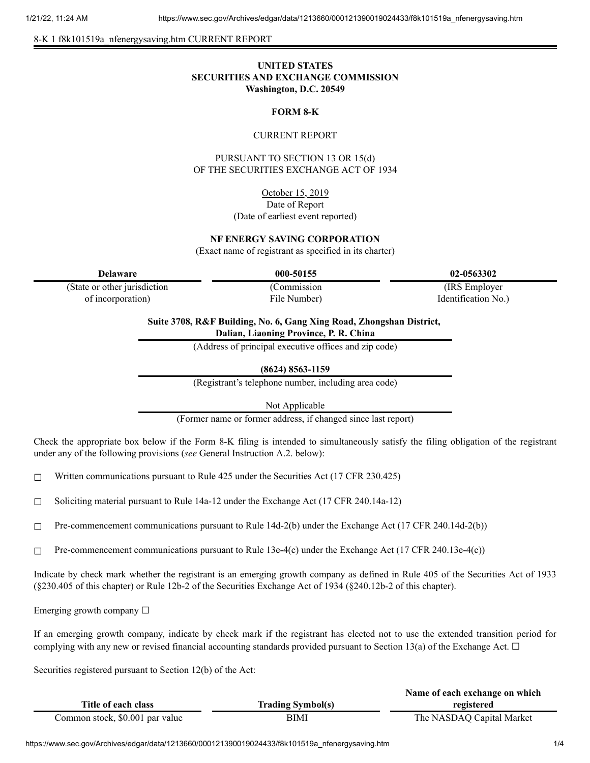#### 8-K 1 f8k101519a\_nfenergysaving.htm CURRENT REPORT

# **UNITED STATES SECURITIES AND EXCHANGE COMMISSION Washington, D.C. 20549**

### **FORM 8-K**

### CURRENT REPORT

PURSUANT TO SECTION 13 OR 15(d) OF THE SECURITIES EXCHANGE ACT OF 1934

> October 15, 2019 Date of Report (Date of earliest event reported)

#### **NF ENERGY SAVING CORPORATION**

(Exact name of registrant as specified in its charter)

**Delaware 000-50155 02-0563302**

(State or other jurisdiction of incorporation)

(Commission File Number)

(IRS Employer Identification No.)

**Suite 3708, R&F Building, No. 6, Gang Xing Road, Zhongshan District, Dalian, Liaoning Province, P. R. China**

(Address of principal executive offices and zip code)

**(8624) 8563-1159**

(Registrant's telephone number, including area code)

Not Applicable

(Former name or former address, if changed since last report)

Check the appropriate box below if the Form 8-K filing is intended to simultaneously satisfy the filing obligation of the registrant under any of the following provisions (*see* General Instruction A.2. below):

☐ Written communications pursuant to Rule 425 under the Securities Act (17 CFR 230.425)

☐ Soliciting material pursuant to Rule 14a-12 under the Exchange Act (17 CFR 240.14a-12)

 $\Box$  Pre-commencement communications pursuant to Rule 14d-2(b) under the Exchange Act (17 CFR 240.14d-2(b))

 $\Box$  Pre-commencement communications pursuant to Rule 13e-4(c) under the Exchange Act (17 CFR 240.13e-4(c))

Indicate by check mark whether the registrant is an emerging growth company as defined in Rule 405 of the Securities Act of 1933 (§230.405 of this chapter) or Rule 12b-2 of the Securities Exchange Act of 1934 (§240.12b-2 of this chapter).

Emerging growth company  $\Box$ 

If an emerging growth company, indicate by check mark if the registrant has elected not to use the extended transition period for complying with any new or revised financial accounting standards provided pursuant to Section 13(a) of the Exchange Act.  $\Box$ 

Securities registered pursuant to Section 12(b) of the Act:

|                                 |                          | Name of each exchange on which |
|---------------------------------|--------------------------|--------------------------------|
| Title of each class             | <b>Trading Symbol(s)</b> | registered                     |
| Common stock, \$0.001 par value | BIMI                     | The NASDAQ Capital Market      |

https://www.sec.gov/Archives/edgar/data/1213660/000121390019024433/f8k101519a\_nfenergysaving.htm 1/4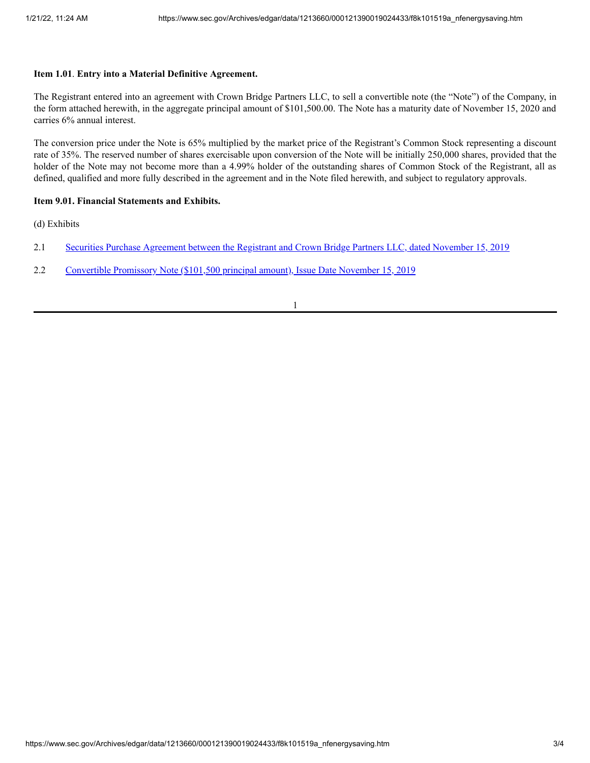## **Item 1.01**. **Entry into a Material Definitive Agreement.**

The Registrant entered into an agreement with Crown Bridge Partners LLC, to sell a convertible note (the "Note") of the Company, in the form attached herewith, in the aggregate principal amount of \$101,500.00. The Note has a maturity date of November 15, 2020 and carries 6% annual interest.

The conversion price under the Note is 65% multiplied by the market price of the Registrant's Common Stock representing a discount rate of 35%. The reserved number of shares exercisable upon conversion of the Note will be initially 250,000 shares, provided that the holder of the Note may not become more than a 4.99% holder of the outstanding shares of Common Stock of the Registrant, all as defined, qualified and more fully described in the agreement and in the Note filed herewith, and subject to regulatory approvals.

### **Item 9.01. Financial Statements and Exhibits.**

(d) Exhibits

- 2.1 Securities Purchase [Agreement](https://www.sec.gov/Archives/edgar/data/1213660/000121390019024433/f8k101519aex2-1_nfenergy.htm) between the Registrant and Crown Bridge Partners LLC, dated November 15, 2019
- 2.2 [Convertible](https://www.sec.gov/Archives/edgar/data/1213660/000121390019024433/f8k101519aex2-2_nfenergy.htm) Promissory Note (\$101,500 principal amount), Issue Date November 15, 2019

1